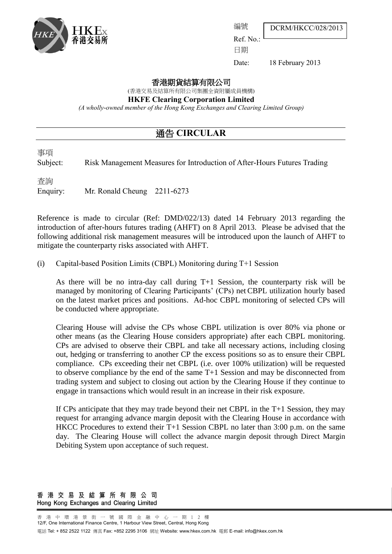

DCRM/HKCC/028/2013

Ref. No.:

編號

日期

Date: 18 February 2013

#### 香港期貨結算有限公司

(香港交易及結算所有限公司集團全資附屬成員機構)

**HKFE Clearing Corporation Limited**

*(A wholly-owned member of the Hong Kong Exchanges and Clearing Limited Group)*

### 通告 **CIRCULAR**

事項

Subject: Risk Management Measures for Introduction of After-Hours Futures Trading

查詢 Enquiry: Mr. Ronald Cheung 2211-6273

Reference is made to circular (Ref: DMD/022/13) dated 14 February 2013 regarding the introduction of after-hours futures trading (AHFT) on 8 April 2013. Please be advised that the following additional risk management measures will be introduced upon the launch of AHFT to mitigate the counterparty risks associated with AHFT.

(i) Capital-based Position Limits (CBPL) Monitoring during T+1 Session

As there will be no intra-day call during T+1 Session, the counterparty risk will be managed by monitoring of Clearing Participants' (CPs) net CBPL utilization hourly based on the latest market prices and positions. Ad-hoc CBPL monitoring of selected CPs will be conducted where appropriate.

Clearing House will advise the CPs whose CBPL utilization is over 80% via phone or other means (as the Clearing House considers appropriate) after each CBPL monitoring. CPs are advised to observe their CBPL and take all necessary actions, including closing out, hedging or transferring to another CP the excess positions so as to ensure their CBPL compliance. CPs exceeding their net CBPL (i.e. over 100% utilization) will be requested to observe compliance by the end of the same T+1 Session and may be disconnected from trading system and subject to closing out action by the Clearing House if they continue to engage in transactions which would result in an increase in their risk exposure.

If CPs anticipate that they may trade beyond their net CBPL in the T+1 Session, they may request for arranging advance margin deposit with the Clearing House in accordance with HKCC Procedures to extend their T+1 Session CBPL no later than 3:00 p.m. on the same day. The Clearing House will collect the advance margin deposit through Direct Margin Debiting System upon acceptance of such request.

香港交易及結算所有限公司 Hong Kong Exchanges and Clearing Limited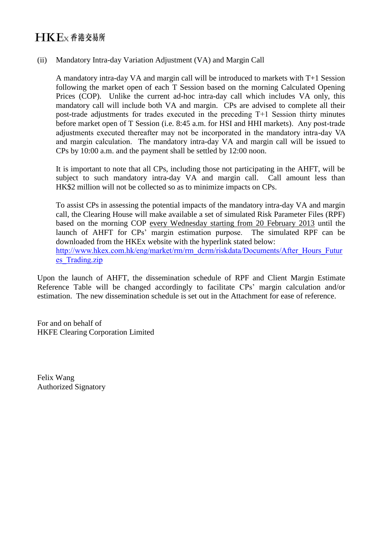# HKEx香港交易所

#### (ii) Mandatory Intra-day Variation Adjustment (VA) and Margin Call

A mandatory intra-day VA and margin call will be introduced to markets with T+1 Session following the market open of each T Session based on the morning Calculated Opening Prices (COP). Unlike the current ad-hoc intra-day call which includes VA only, this mandatory call will include both VA and margin. CPs are advised to complete all their post-trade adjustments for trades executed in the preceding T+1 Session thirty minutes before market open of T Session (i.e. 8:45 a.m. for HSI and HHI markets). Any post-trade adjustments executed thereafter may not be incorporated in the mandatory intra-day VA and margin calculation. The mandatory intra-day VA and margin call will be issued to CPs by 10:00 a.m. and the payment shall be settled by 12:00 noon.

It is important to note that all CPs, including those not participating in the AHFT, will be subject to such mandatory intra-day VA and margin call. Call amount less than HK\$2 million will not be collected so as to minimize impacts on CPs.

To assist CPs in assessing the potential impacts of the mandatory intra-day VA and margin call, the Clearing House will make available a set of simulated Risk Parameter Files (RPF) based on the morning COP every Wednesday starting from 20 February 2013 until the launch of AHFT for CPs' margin estimation purpose. The simulated RPF can be downloaded from the HKEx website with the hyperlink stated below: [http://www.hkex.com.hk/eng/market/rm/rm\\_dcrm/riskdata/Documents/After\\_Hours\\_Futur](http://www.hkex.com.hk/eng/market/rm/rm_dcrm/riskdata/Documents/After_Hours_Futures_Trading.zip) [es\\_Trading.zip](http://www.hkex.com.hk/eng/market/rm/rm_dcrm/riskdata/Documents/After_Hours_Futures_Trading.zip)

Upon the launch of AHFT, the dissemination schedule of RPF and Client Margin Estimate Reference Table will be changed accordingly to facilitate CPs' margin calculation and/or estimation. The new dissemination schedule is set out in the Attachment for ease of reference.

For and on behalf of HKFE Clearing Corporation Limited

Felix Wang Authorized Signatory